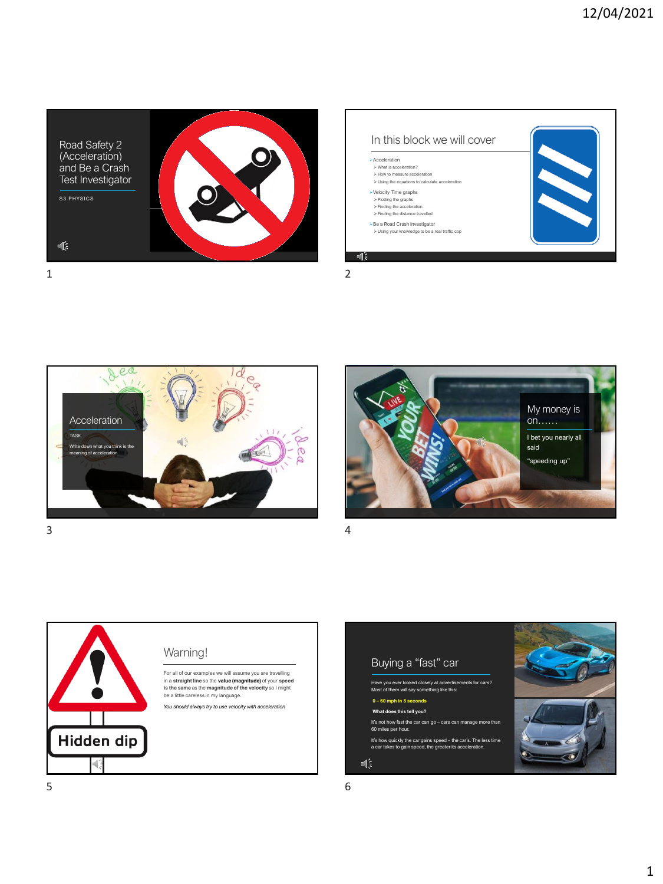









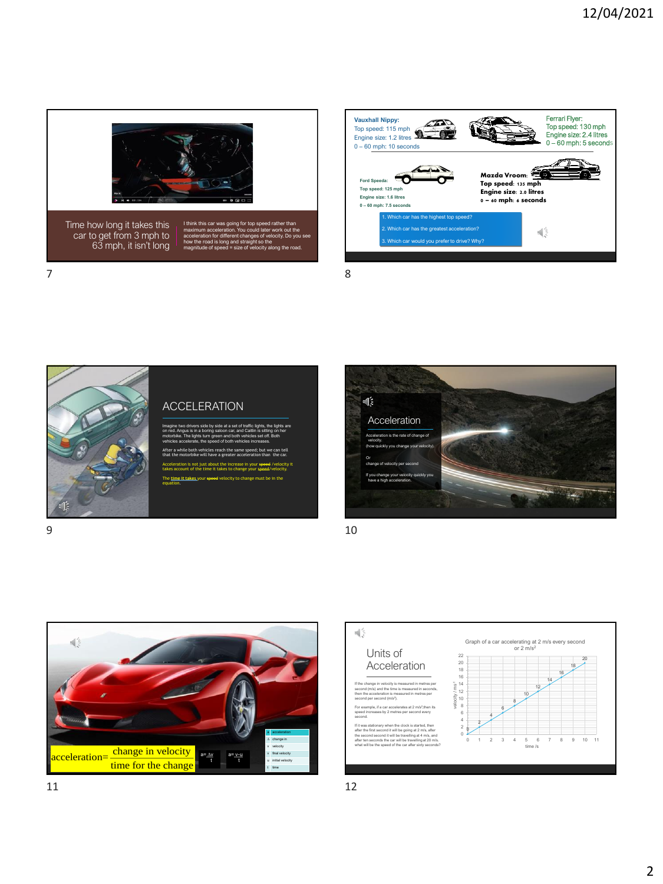





## $\mathbb{C}$ Acceleration ate of change of velocity. (how quickly you change your velocity). Or change of velocity per second If you change your velocity quickly you have a high acceleration.